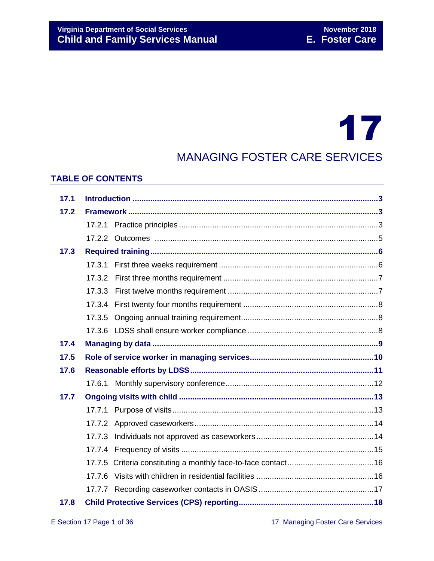# 17

### MANAGING FOSTER CARE SERVICES

#### **TABLE OF CONTENTS**

| 17.1 |        |  |  |
|------|--------|--|--|
| 17.2 |        |  |  |
|      |        |  |  |
|      |        |  |  |
| 17.3 |        |  |  |
|      |        |  |  |
|      |        |  |  |
|      |        |  |  |
|      |        |  |  |
|      | 17.3.5 |  |  |
|      |        |  |  |
| 17.4 |        |  |  |
| 17.5 |        |  |  |
| 17.6 |        |  |  |
|      |        |  |  |
| 17.7 |        |  |  |
|      |        |  |  |
|      |        |  |  |
|      |        |  |  |
|      |        |  |  |
|      |        |  |  |
|      | 17.7.6 |  |  |
|      |        |  |  |
| 17.8 |        |  |  |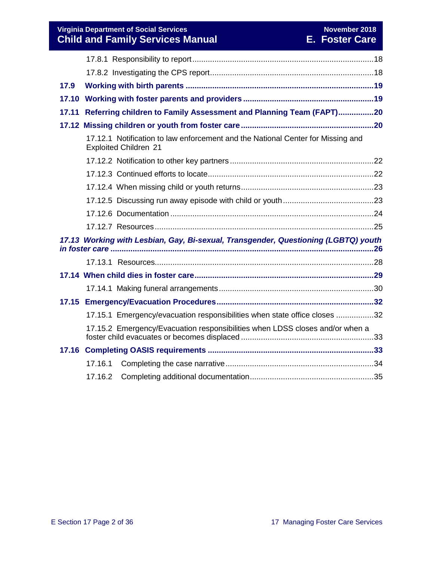**Virginia Department of Social Services** November 2018 November 2018 **Child and Family Services Manual E. Foster Care**

| 17.9                                                                               |         |                                                                                                                 |  |  |
|------------------------------------------------------------------------------------|---------|-----------------------------------------------------------------------------------------------------------------|--|--|
| 17.10                                                                              |         |                                                                                                                 |  |  |
| 17.11                                                                              |         | Referring children to Family Assessment and Planning Team (FAPT)20                                              |  |  |
|                                                                                    |         |                                                                                                                 |  |  |
|                                                                                    |         | 17.12.1 Notification to law enforcement and the National Center for Missing and<br><b>Exploited Children 21</b> |  |  |
|                                                                                    |         |                                                                                                                 |  |  |
|                                                                                    |         |                                                                                                                 |  |  |
|                                                                                    |         |                                                                                                                 |  |  |
|                                                                                    |         |                                                                                                                 |  |  |
|                                                                                    |         |                                                                                                                 |  |  |
|                                                                                    |         |                                                                                                                 |  |  |
| 17.13 Working with Lesbian, Gay, Bi-sexual, Transgender, Questioning (LGBTQ) youth |         |                                                                                                                 |  |  |
|                                                                                    |         |                                                                                                                 |  |  |
|                                                                                    |         |                                                                                                                 |  |  |
|                                                                                    |         |                                                                                                                 |  |  |
|                                                                                    |         |                                                                                                                 |  |  |
|                                                                                    |         | 17.15.1 Emergency/evacuation responsibilities when state office closes 32                                       |  |  |
|                                                                                    |         | 17.15.2 Emergency/Evacuation responsibilities when LDSS closes and/or when a                                    |  |  |
|                                                                                    |         |                                                                                                                 |  |  |
|                                                                                    | 17.16.1 |                                                                                                                 |  |  |
|                                                                                    | 17.16.2 |                                                                                                                 |  |  |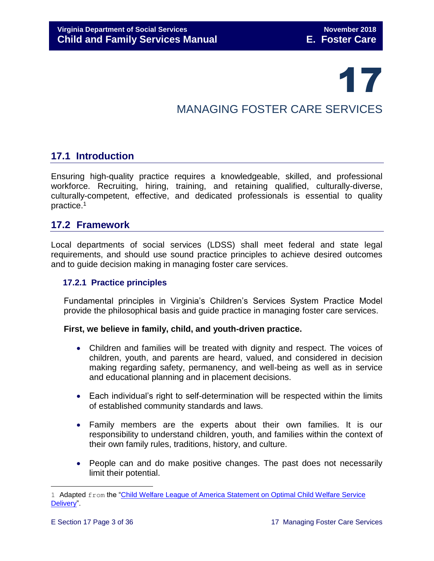## 17

## MANAGING FOSTER CARE SERVICES

#### <span id="page-2-0"></span>**17.1 Introduction**

Ensuring high-quality practice requires a knowledgeable, skilled, and professional workforce. Recruiting, hiring, training, and retaining qualified, culturally-diverse, culturally-competent, effective, and dedicated professionals is essential to quality practice.<sup>1</sup>

#### <span id="page-2-1"></span>**17.2 Framework**

Local departments of social services (LDSS) shall meet federal and state legal requirements, and should use sound practice principles to achieve desired outcomes and to guide decision making in managing foster care services.

#### <span id="page-2-2"></span> **17.2.1 Practice principles**

Fundamental principles in Virginia's Children's Services System Practice Model provide the philosophical basis and guide practice in managing foster care services.

#### **First, we believe in family, child, and youth-driven practice.**

- Children and families will be treated with dignity and respect. The voices of children, youth, and parents are heard, valued, and considered in decision making regarding safety, permanency, and well-being as well as in service and educational planning and in placement decisions.
- Each individual's right to self-determination will be respected within the limits of established community standards and laws.
- Family members are the experts about their own families. It is our responsibility to understand children, youth, and families within the context of their own family rules, traditions, history, and culture.
- People can and do make positive changes. The past does not necessarily limit their potential.

÷.

<sup>1</sup> Adapted from the "Child Welfare League of America Statement on Optimal Child Welfare Service [Delivery"](http://www.cwla.org/advocacy/financingoptimaldeliv.htm).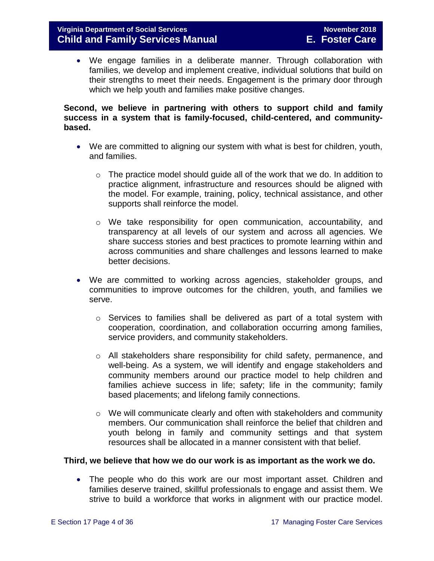We engage families in a deliberate manner. Through collaboration with families, we develop and implement creative, individual solutions that build on their strengths to meet their needs. Engagement is the primary door through which we help youth and families make positive changes.

#### **Second, we believe in partnering with others to support child and family success in a system that is family-focused, child-centered, and communitybased.**

- We are committed to aligning our system with what is best for children, youth, and families.
	- $\circ$  The practice model should quide all of the work that we do. In addition to practice alignment, infrastructure and resources should be aligned with the model. For example, training, policy, technical assistance, and other supports shall reinforce the model.
	- o We take responsibility for open communication, accountability, and transparency at all levels of our system and across all agencies. We share success stories and best practices to promote learning within and across communities and share challenges and lessons learned to make better decisions.
- We are committed to working across agencies, stakeholder groups, and communities to improve outcomes for the children, youth, and families we serve.
	- $\circ$  Services to families shall be delivered as part of a total system with cooperation, coordination, and collaboration occurring among families, service providers, and community stakeholders.
	- $\circ$  All stakeholders share responsibility for child safety, permanence, and well-being. As a system, we will identify and engage stakeholders and community members around our practice model to help children and families achieve success in life; safety; life in the community; family based placements; and lifelong family connections.
	- o We will communicate clearly and often with stakeholders and community members. Our communication shall reinforce the belief that children and youth belong in family and community settings and that system resources shall be allocated in a manner consistent with that belief.

#### **Third, we believe that how we do our work is as important as the work we do.**

 The people who do this work are our most important asset. Children and families deserve trained, skillful professionals to engage and assist them. We strive to build a workforce that works in alignment with our practice model.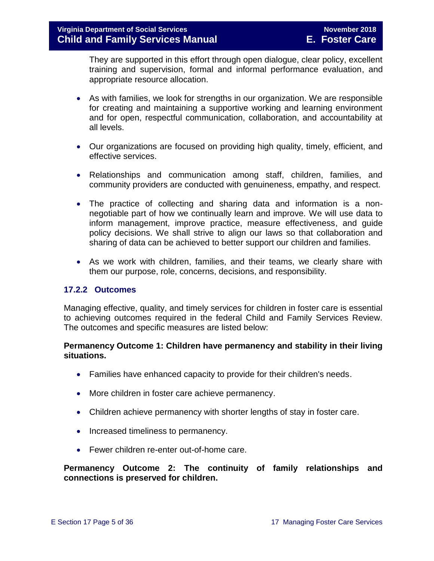They are supported in this effort through open dialogue, clear policy, excellent training and supervision, formal and informal performance evaluation, and appropriate resource allocation.

- As with families, we look for strengths in our organization. We are responsible for creating and maintaining a supportive working and learning environment and for open, respectful communication, collaboration, and accountability at all levels.
- Our organizations are focused on providing high quality, timely, efficient, and effective services.
- Relationships and communication among staff, children, families, and community providers are conducted with genuineness, empathy, and respect.
- The practice of collecting and sharing data and information is a nonnegotiable part of how we continually learn and improve. We will use data to inform management, improve practice, measure effectiveness, and guide policy decisions. We shall strive to align our laws so that collaboration and sharing of data can be achieved to better support our children and families.
- As we work with children, families, and their teams, we clearly share with them our purpose, role, concerns, decisions, and responsibility.

#### <span id="page-4-0"></span>**17.2.2 Outcomes**

Managing effective, quality, and timely services for children in foster care is essential to achieving outcomes required in the federal Child and Family Services Review. The outcomes and specific measures are listed below:

#### **Permanency Outcome 1: Children have permanency and stability in their living situations.**

- Families have enhanced capacity to provide for their children's needs.
- More children in foster care achieve permanency.
- Children achieve permanency with shorter lengths of stay in foster care.
- Increased timeliness to permanency.
- Fewer children re-enter out-of-home care.

**Permanency Outcome 2: The continuity of family relationships and connections is preserved for children.**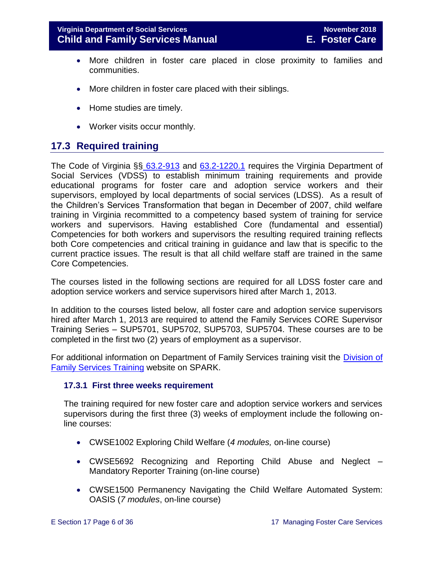- More children in foster care placed in close proximity to families and communities.
- More children in foster care placed with their siblings.
- Home studies are timely.
- Worker visits occur monthly.

#### <span id="page-5-0"></span>**17.3 Required training**

The Code of Virginia §§ [63.2-913](http://law.lis.virginia.gov/vacode/63.2-913/) and [63.2-1220.1](http://law.lis.virginia.gov/vacode/63.2-1220.1/) requires the Virginia Department of Social Services (VDSS) to establish minimum training requirements and provide educational programs for foster care and adoption service workers and their supervisors, employed by local departments of social services (LDSS). As a result of the Children's Services Transformation that began in December of 2007, child welfare training in Virginia recommitted to a competency based system of training for service workers and supervisors. Having established Core (fundamental and essential) Competencies for both workers and supervisors the resulting required training reflects both Core competencies and critical training in guidance and law that is specific to the current practice issues. The result is that all child welfare staff are trained in the same Core Competencies.

The courses listed in the following sections are required for all LDSS foster care and adoption service workers and service supervisors hired after March 1, 2013.

In addition to the courses listed below, all foster care and adoption service supervisors hired after March 1, 2013 are required to attend the Family Services CORE Supervisor Training Series – SUP5701, SUP5702, SUP5703, SUP5704. These courses are to be completed in the first two (2) years of employment as a supervisor.

For additional information on Department of Family Services training visit the Division of [Family Services Training](http://spark.dss.virginia.gov/divisions/dfs/training/index.cgi) website on SPARK.

#### <span id="page-5-1"></span>**17.3.1 First three weeks requirement**

The training required for new foster care and adoption service workers and services supervisors during the first three (3) weeks of employment include the following online courses:

- CWSE1002 Exploring Child Welfare (*4 modules,* on-line course)
- CWSE5692 Recognizing and Reporting Child Abuse and Neglect Mandatory Reporter Training (on-line course)
- CWSE1500 Permanency Navigating the Child Welfare Automated System: OASIS (*7 modules*, on-line course)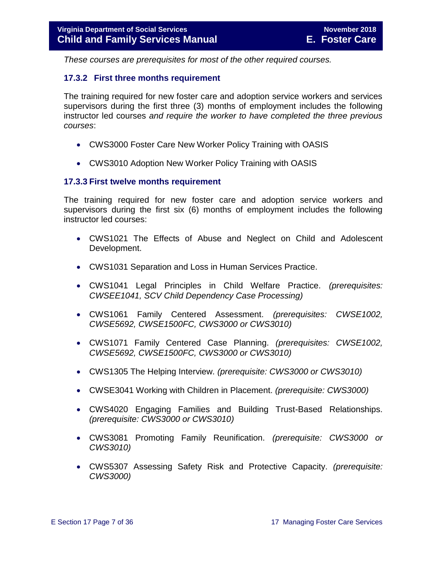*These courses are prerequisites for most of the other required courses.* 

#### <span id="page-6-0"></span>**17.3.2 First three months requirement**

The training required for new foster care and adoption service workers and services supervisors during the first three (3) months of employment includes the following instructor led courses *and require the worker to have completed the three previous courses*:

- CWS3000 Foster Care New Worker Policy Training with OASIS
- CWS3010 Adoption New Worker Policy Training with OASIS

#### <span id="page-6-1"></span>**17.3.3 First twelve months requirement**

The training required for new foster care and adoption service workers and supervisors during the first six (6) months of employment includes the following instructor led courses:

- CWS1021 The Effects of Abuse and Neglect on Child and Adolescent Development.
- CWS1031 Separation and Loss in Human Services Practice.
- CWS1041 Legal Principles in Child Welfare Practice. *(prerequisites: CWSEE1041, SCV Child Dependency Case Processing)*
- CWS1061 Family Centered Assessment. *(prerequisites: CWSE1002, CWSE5692, CWSE1500FC, CWS3000 or CWS3010)*
- CWS1071 Family Centered Case Planning. *(prerequisites: CWSE1002, CWSE5692, CWSE1500FC, CWS3000 or CWS3010)*
- CWS1305 The Helping Interview. *(prerequisite: CWS3000 or CWS3010)*
- CWSE3041 Working with Children in Placement. *(prerequisite: CWS3000)*
- CWS4020 Engaging Families and Building Trust-Based Relationships. *(prerequisite: CWS3000 or CWS3010)*
- CWS3081 Promoting Family Reunification. *(prerequisite: CWS3000 or CWS3010)*
- CWS5307 Assessing Safety Risk and Protective Capacity. *(prerequisite: CWS3000)*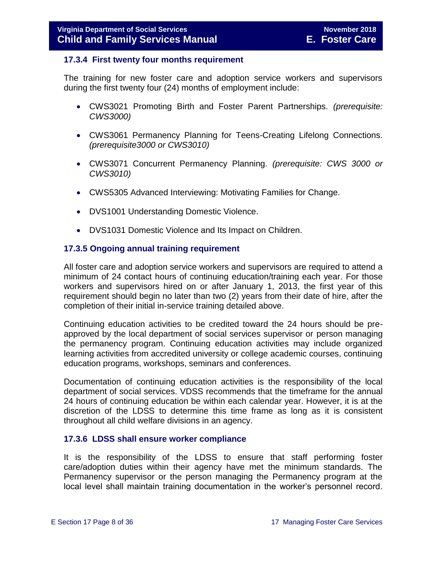#### <span id="page-7-0"></span>**17.3.4 First twenty four months requirement**

The training for new foster care and adoption service workers and supervisors during the first twenty four (24) months of employment include:

- CWS3021 Promoting Birth and Foster Parent Partnerships. *(prerequisite: CWS3000)*
- CWS3061 Permanency Planning for Teens-Creating Lifelong Connections. *(prerequisite3000 or CWS3010)*
- CWS3071 Concurrent Permanency Planning. *(prerequisite: CWS 3000 or CWS3010)*
- CWS5305 Advanced Interviewing: Motivating Families for Change.
- DVS1001 Understanding Domestic Violence.
- DVS1031 Domestic Violence and Its Impact on Children.

#### <span id="page-7-1"></span>**17.3.5 Ongoing annual training requirement**

All foster care and adoption service workers and supervisors are required to attend a minimum of 24 contact hours of continuing education/training each year. For those workers and supervisors hired on or after January 1, 2013, the first year of this requirement should begin no later than two (2) years from their date of hire, after the completion of their initial in-service training detailed above.

Continuing education activities to be credited toward the 24 hours should be preapproved by the local department of social services supervisor or person managing the permanency program. Continuing education activities may include organized learning activities from accredited university or college academic courses, continuing education programs, workshops, seminars and conferences.

Documentation of continuing education activities is the responsibility of the local department of social services. VDSS recommends that the timeframe for the annual 24 hours of continuing education be within each calendar year. However, it is at the discretion of the LDSS to determine this time frame as long as it is consistent throughout all child welfare divisions in an agency.

#### <span id="page-7-2"></span>**17.3.6 LDSS shall ensure worker compliance**

It is the responsibility of the LDSS to ensure that staff performing foster care/adoption duties within their agency have met the minimum standards. The Permanency supervisor or the person managing the Permanency program at the local level shall maintain training documentation in the worker's personnel record.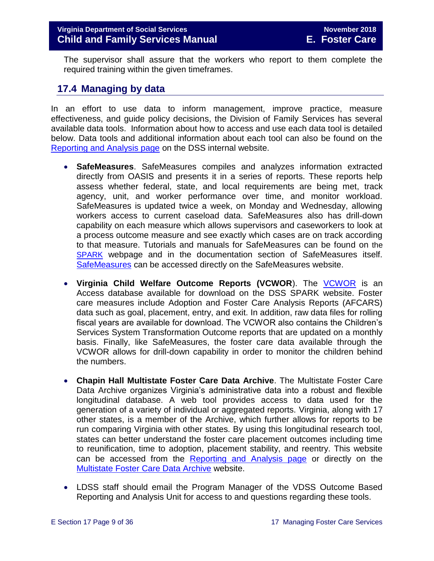The supervisor shall assure that the workers who report to them complete the required training within the given timeframes.

#### <span id="page-8-0"></span>**17.4 Managing by data**

In an effort to use data to inform management, improve practice, measure effectiveness, and guide policy decisions, the Division of Family Services has several available data tools. Information about how to access and use each data tool is detailed below. Data tools and additional information about each tool can also be found on the [Reporting and Analysis page](http://spark.dss.virginia.gov/divisions/dfs/reporting/index.cgi) on the DSS internal website.

- **SafeMeasures**. SafeMeasures compiles and analyzes information extracted directly from OASIS and presents it in a series of reports. These reports help assess whether federal, state, and local requirements are being met, track agency, unit, and worker performance over time, and monitor workload. SafeMeasures is updated twice a week, on Monday and Wednesday, allowing workers access to current caseload data. SafeMeasures also has drill-down capability on each measure which allows supervisors and caseworkers to look at a process outcome measure and see exactly which cases are on track according to that measure. Tutorials and manuals for SafeMeasures can be found on the [SPARK](http://spark.dss.virginia.gov/divisions/dfs/reporting/index.cgi) webpage and in the documentation section of SafeMeasures itself. [SafeMeasures](https://www.safemeasures.org/vadss/) can be accessed directly on the SafeMeasures website.
- **Virginia Child Welfare Outcome Reports (VCWOR**). The [VCWOR](http://spark.dss.virginia.gov/divisions/dis/oasis/) is an Access database available for download on the DSS SPARK website. Foster care measures include Adoption and Foster Care Analysis Reports (AFCARS) data such as goal, placement, entry, and exit. In addition, raw data files for rolling fiscal years are available for download. The VCWOR also contains the Children's Services System Transformation Outcome reports that are updated on a monthly basis. Finally, like SafeMeasures, the foster care data available through the VCWOR allows for drill-down capability in order to monitor the children behind the numbers.
- **Chapin Hall Multistate Foster Care Data Archive**. The Multistate Foster Care Data Archive organizes Virginia's administrative data into a robust and flexible longitudinal database. A web tool provides access to data used for the generation of a variety of individual or aggregated reports. Virginia, along with 17 other states, is a member of the Archive, which further allows for reports to be run comparing Virginia with other states. By using this longitudinal research tool, states can better understand the foster care placement outcomes including time to reunification, time to adoption, placement stability, and reentry. This website can be accessed from the [Reporting and Analysis page](http://spark.dss.virginia.gov/divisions/dfs/reporting/index.cgi) or directly on the [Multistate Foster Care Data Archive](https://fcda.chapinhall.org/) website.
- LDSS staff should email the Program Manager of the VDSS Outcome Based Reporting and Analysis Unit for access to and questions regarding these tools.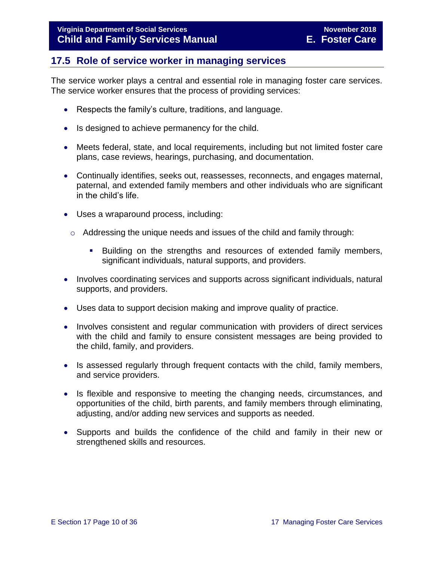#### <span id="page-9-0"></span>**17.5 Role of service worker in managing services**

The service worker plays a central and essential role in managing foster care services. The service worker ensures that the process of providing services:

- Respects the family's culture, traditions, and language.
- Is designed to achieve permanency for the child.
- Meets federal, state, and local requirements, including but not limited foster care plans, case reviews, hearings, purchasing, and documentation.
- Continually identifies, seeks out, reassesses, reconnects, and engages maternal, paternal, and extended family members and other individuals who are significant in the child's life.
- Uses a wraparound process, including:
	- $\circ$  Addressing the unique needs and issues of the child and family through:
		- Building on the strengths and resources of extended family members, significant individuals, natural supports, and providers.
- Involves coordinating services and supports across significant individuals, natural supports, and providers.
- Uses data to support decision making and improve quality of practice.
- Involves consistent and regular communication with providers of direct services with the child and family to ensure consistent messages are being provided to the child, family, and providers.
- Is assessed regularly through frequent contacts with the child, family members, and service providers.
- Is flexible and responsive to meeting the changing needs, circumstances, and opportunities of the child, birth parents, and family members through eliminating, adjusting, and/or adding new services and supports as needed.
- Supports and builds the confidence of the child and family in their new or strengthened skills and resources.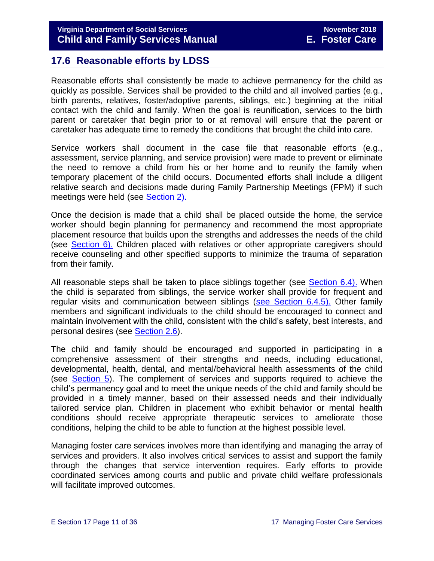#### <span id="page-10-0"></span>**17.6 Reasonable efforts by LDSS**

Reasonable efforts shall consistently be made to achieve permanency for the child as quickly as possible. Services shall be provided to the child and all involved parties (e.g., birth parents, relatives, foster/adoptive parents, siblings, etc.) beginning at the initial contact with the child and family. When the goal is reunification, services to the birth parent or caretaker that begin prior to or at removal will ensure that the parent or caretaker has adequate time to remedy the conditions that brought the child into care.

Service workers shall document in the case file that reasonable efforts (e.g., assessment, service planning, and service provision) were made to prevent or eliminate the need to remove a child from his or her home and to reunify the family when temporary placement of the child occurs. Documented efforts shall include a diligent relative search and decisions made during Family Partnership Meetings (FPM) if such meetings were held (see [Section 2\)](file://///Vaultcelerra.co.dss.state.va.us/Workgroup/Family_Services/DFS%20Child%20and%20Family%20Services%20Manual/E.%20Foster%20Care/Foster%20Care%20June%202017/section_2_engaging_the_child_family_and_significant_adults.draft.docx).

Once the decision is made that a child shall be placed outside the home, the service worker should begin planning for permanency and recommend the most appropriate placement resource that builds upon the strengths and addresses the needs of the child (see [Section 6\).](file://///Vaultcelerra.co.dss.state.va.us/Workgroup/Family_Services/DFS%20Child%20and%20Family%20Services%20Manual/E.%20Foster%20Care/Foster%20Care%20June%202017/section_6_placement_to_achieve_permanency.draft.docx) Children placed with relatives or other appropriate caregivers should receive counseling and other specified supports to minimize the trauma of separation from their family.

All reasonable steps shall be taken to place siblings together (see [Section 6.4\).](file://///Vaultcelerra.co.dss.state.va.us/Workgroup/Family_Services/DFS%20Child%20and%20Family%20Services%20Manual/E.%20Foster%20Care/Foster%20Care%20June%202017/section_6_placement_to_achieve_permanency.draft.docx) When the child is separated from siblings, the service worker shall provide for frequent and regular visits and communication between siblings [\(see Section 6.4.5\).](file://///Vaultcelerra.co.dss.state.va.us/Workgroup/Family_Services/DFS%20Child%20and%20Family%20Services%20Manual/E.%20Foster%20Care/Foster%20Care%20June%202017/section_6_placement_to_achieve_permanency.draft.docx) Other family members and significant individuals to the child should be encouraged to connect and maintain involvement with the child, consistent with the child's safety, best interests, and personal desires (see [Section](file://///Vaultcelerra.co.dss.state.va.us/Workgroup/Family_Services/DFS%20Child%20and%20Family%20Services%20Manual/E.%20Foster%20Care/Foster%20Care%20June%202017/section_2_engaging_the_child_family_and_significant_adults.draft.docx) 2.6).

The child and family should be encouraged and supported in participating in a comprehensive assessment of their strengths and needs, including educational, developmental, health, dental, and mental/behavioral health assessments of the child (see [Section 5\)](file://///Vaultcelerra.co.dss.state.va.us/Workgroup/Family_Services/DFS%20Child%20and%20Family%20Services%20Manual/E.%20Foster%20Care/Foster%20Care%20June%202017/section_5_conducting_child_and_family_assessment.docx). The complement of services and supports required to achieve the child's permanency goal and to meet the unique needs of the child and family should be provided in a timely manner, based on their assessed needs and their individually tailored service plan. Children in placement who exhibit behavior or mental health conditions should receive appropriate therapeutic services to ameliorate those conditions, helping the child to be able to function at the highest possible level.

Managing foster care services involves more than identifying and managing the array of services and providers. It also involves critical services to assist and support the family through the changes that service intervention requires. Early efforts to provide coordinated services among courts and public and private child welfare professionals will facilitate improved outcomes.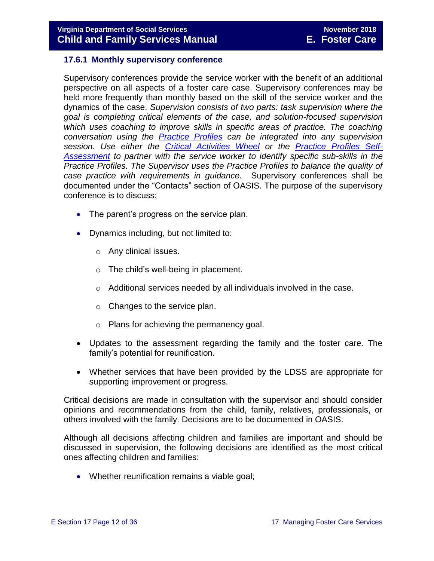#### <span id="page-11-0"></span>**17.6.1 Monthly supervisory conference**

Supervisory conferences provide the service worker with the benefit of an additional perspective on all aspects of a foster care case. Supervisory conferences may be held more frequently than monthly based on the skill of the service worker and the dynamics of the case. *Supervision consists of two parts: task supervision where the goal is completing critical elements of the case, and solution-focused supervision*  which uses coaching to improve skills in specific areas of practice. The coaching *conversation using the [Practice Profiles](http://spark.dss.virginia.gov/divisions/dfs/childrens_services_practice_model/index.cgi) can be integrated into any supervision session. Use either the [Critical Activities Wheel](http://spark.dss.virginia.gov/divisions/dfs/childrens_services_practice_model/files/practice_profiles_and_coaching/documents/Critical_Activities_Wheel.pdf) or the [Practice Profiles Self-](http://spark.dss.virginia.gov/divisions/dfs/childrens_services_practice_model/files/practice_profiles_and_coaching/documents/Practice_Profiles_Self-Assessmentv2.pdf)[Assessment](http://spark.dss.virginia.gov/divisions/dfs/childrens_services_practice_model/files/practice_profiles_and_coaching/documents/Practice_Profiles_Self-Assessmentv2.pdf) to partner with the service worker to identify specific sub-skills in the Practice Profiles. The Supervisor uses the Practice Profiles to balance the quality of case practice with requirements in guidance.* Supervisory conferences shall be documented under the "Contacts" section of OASIS. The purpose of the supervisory conference is to discuss:

- The parent's progress on the service plan.
- Dynamics including, but not limited to:
	- o Any clinical issues.
	- $\circ$  The child's well-being in placement.
	- o Additional services needed by all individuals involved in the case.
	- o Changes to the service plan.
	- o Plans for achieving the permanency goal.
- Updates to the assessment regarding the family and the foster care. The family's potential for reunification.
- Whether services that have been provided by the LDSS are appropriate for supporting improvement or progress.

Critical decisions are made in consultation with the supervisor and should consider opinions and recommendations from the child, family, relatives, professionals, or others involved with the family. Decisions are to be documented in OASIS.

Although all decisions affecting children and families are important and should be discussed in supervision, the following decisions are identified as the most critical ones affecting children and families:

• Whether reunification remains a viable goal;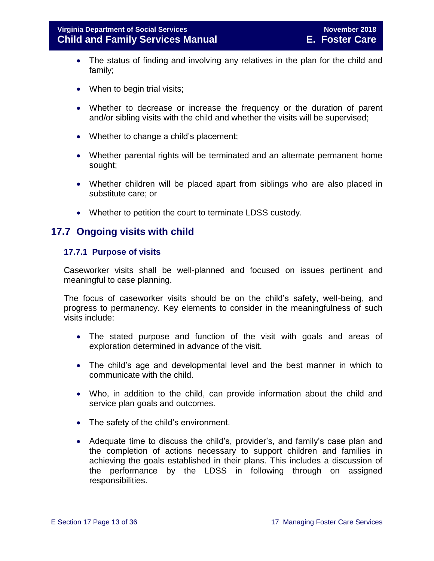- The status of finding and involving any relatives in the plan for the child and family;
- When to begin trial visits;
- Whether to decrease or increase the frequency or the duration of parent and/or sibling visits with the child and whether the visits will be supervised;
- Whether to change a child's placement;
- Whether parental rights will be terminated and an alternate permanent home sought;
- Whether children will be placed apart from siblings who are also placed in substitute care; or
- Whether to petition the court to terminate LDSS custody.

#### <span id="page-12-0"></span>**17.7 Ongoing visits with child**

#### <span id="page-12-1"></span>**17.7.1 Purpose of visits**

Caseworker visits shall be well-planned and focused on issues pertinent and meaningful to case planning.

The focus of caseworker visits should be on the child's safety, well-being, and progress to permanency. Key elements to consider in the meaningfulness of such visits include:

- The stated purpose and function of the visit with goals and areas of exploration determined in advance of the visit.
- The child's age and developmental level and the best manner in which to communicate with the child.
- Who, in addition to the child, can provide information about the child and service plan goals and outcomes.
- The safety of the child's environment.
- Adequate time to discuss the child's, provider's, and family's case plan and the completion of actions necessary to support children and families in achieving the goals established in their plans. This includes a discussion of the performance by the LDSS in following through on assigned responsibilities.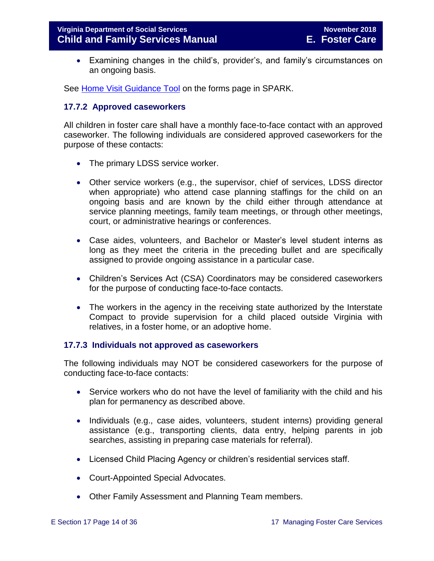Examining changes in the child's, provider's, and family's circumstances on an ongoing basis.

See Home Visit [Guidance Tool](http://spark.dss.virginia.gov/divisions/dfs/fc/forms.cgi) on the forms page in SPARK.

#### <span id="page-13-0"></span>**17.7.2 Approved caseworkers**

All children in foster care shall have a monthly face-to-face contact with an approved caseworker. The following individuals are considered approved caseworkers for the purpose of these contacts:

- The primary LDSS service worker.
- Other service workers (e.g., the supervisor, chief of services, LDSS director when appropriate) who attend case planning staffings for the child on an ongoing basis and are known by the child either through attendance at service planning meetings, family team meetings, or through other meetings, court, or administrative hearings or conferences.
- Case aides, volunteers, and Bachelor or Master's level student interns as long as they meet the criteria in the preceding bullet and are specifically assigned to provide ongoing assistance in a particular case.
- Children's Services Act (CSA) Coordinators may be considered caseworkers for the purpose of conducting face-to-face contacts.
- The workers in the agency in the receiving state authorized by the Interstate Compact to provide supervision for a child placed outside Virginia with relatives, in a foster home, or an adoptive home.

#### <span id="page-13-1"></span>**17.7.3 Individuals not approved as caseworkers**

The following individuals may NOT be considered caseworkers for the purpose of conducting face-to-face contacts:

- Service workers who do not have the level of familiarity with the child and his plan for permanency as described above.
- Individuals (e.g., case aides, volunteers, student interns) providing general assistance (e.g., transporting clients, data entry, helping parents in job searches, assisting in preparing case materials for referral).
- Licensed Child Placing Agency or children's residential services staff.
- Court-Appointed Special Advocates.
- Other Family Assessment and Planning Team members.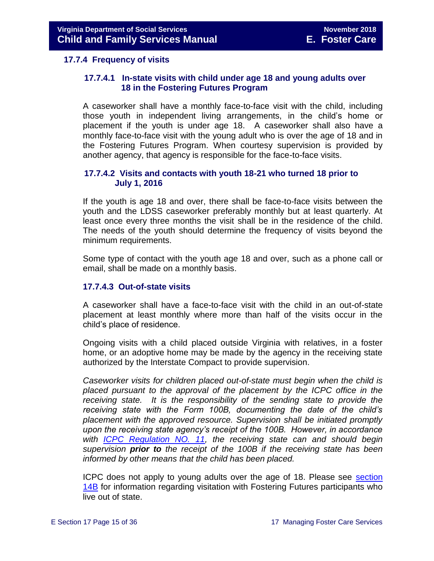#### <span id="page-14-0"></span>**17.7.4 Frequency of visits**

#### **17.7.4.1 In-state visits with child under age 18 and young adults over 18 in the Fostering Futures Program**

A caseworker shall have a monthly face-to-face visit with the child, including those youth in independent living arrangements, in the child's home or placement if the youth is under age 18. A caseworker shall also have a monthly face-to-face visit with the young adult who is over the age of 18 and in the Fostering Futures Program. When courtesy supervision is provided by another agency, that agency is responsible for the face-to-face visits.

#### **17.7.4.2 Visits and contacts with youth 18-21 who turned 18 prior to July 1, 2016**

If the youth is age 18 and over, there shall be face-to-face visits between the youth and the LDSS caseworker preferably monthly but at least quarterly. At least once every three months the visit shall be in the residence of the child. The needs of the youth should determine the frequency of visits beyond the minimum requirements.

Some type of contact with the youth age 18 and over, such as a phone call or email, shall be made on a monthly basis.

#### **17.7.4.3 Out-of-state visits**

A caseworker shall have a face-to-face visit with the child in an out-of-state placement at least monthly where more than half of the visits occur in the child's place of residence.

Ongoing visits with a child placed outside Virginia with relatives, in a foster home, or an adoptive home may be made by the agency in the receiving state authorized by the Interstate Compact to provide supervision.

*Caseworker visits for children placed out-of-state must begin when the child is placed pursuant to the approval of the placement by the ICPC office in the receiving state. It is the responsibility of the sending state to provide the receiving state with the Form 100B, documenting the date of the child's placement with the approved resource. Supervision shall be initiated promptly upon the receiving state agency's receipt of the 100B. However, in accordance with [ICPC Regulation NO. 11,](http://spark.dss.virginia.gov/divisions/dfs/iii/files/icpc/guidance_procedures/regulation11adoptedat2010.pdfhttp:/spark.dss.virginia.gov/divisions/dfs/iii/files/icpc/guidance_procedures/regulation11adoptedat2010.pdf) the receiving state can and should begin supervision prior to the receipt of the 100B if the receiving state has been informed by other means that the child has been placed.* 

ICPC does not apply to young adults over the age of 18. Please see [section](file://///Vaultcelerra.co.dss.state.va.us/Workgroup/Family_Services/DFS%20Child%20and%20Family%20Services%20Manual/E.%20Foster%20Care/Foster%20Care%20June%202017/Section_14B%20Fostering%20Futures.docx)  [14B](file://///Vaultcelerra.co.dss.state.va.us/Workgroup/Family_Services/DFS%20Child%20and%20Family%20Services%20Manual/E.%20Foster%20Care/Foster%20Care%20June%202017/Section_14B%20Fostering%20Futures.docx) for information regarding visitation with Fostering Futures participants who live out of state.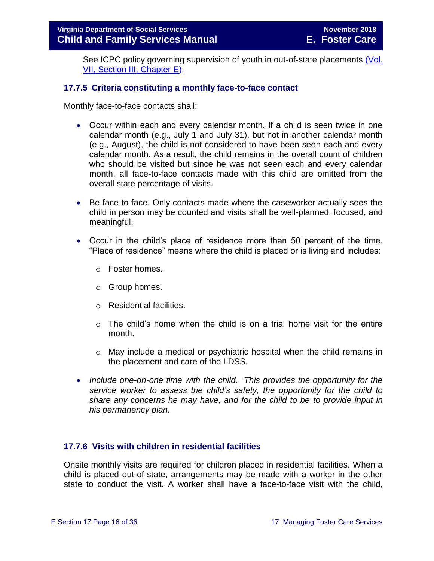See ICPC policy governing supervision of youth in out-of-state placements (Vol. [VII, Section III, Chapter](http://spark.dss.virginia.gov/divisions/dfs/iii/files/icpc/guidance_procedures/policy.pdf) E).

#### <span id="page-15-0"></span>**17.7.5 Criteria constituting a monthly face-to-face contact**

Monthly face-to-face contacts shall:

- Occur within each and every calendar month. If a child is seen twice in one calendar month (e.g., July 1 and July 31), but not in another calendar month (e.g., August), the child is not considered to have been seen each and every calendar month. As a result, the child remains in the overall count of children who should be visited but since he was not seen each and every calendar month, all face-to-face contacts made with this child are omitted from the overall state percentage of visits.
- Be face-to-face. Only contacts made where the caseworker actually sees the child in person may be counted and visits shall be well-planned, focused, and meaningful.
- Occur in the child's place of residence more than 50 percent of the time. "Place of residence" means where the child is placed or is living and includes:
	- o Foster homes.
	- o Group homes.
	- o Residential facilities.
	- $\circ$  The child's home when the child is on a trial home visit for the entire month.
	- $\circ$  May include a medical or psychiatric hospital when the child remains in the placement and care of the LDSS.
- *Include one-on-one time with the child. This provides the opportunity for the service worker to assess the child's safety, the opportunity for the child to share any concerns he may have, and for the child to be to provide input in his permanency plan.*

#### <span id="page-15-1"></span>**17.7.6 Visits with children in residential facilities**

Onsite monthly visits are required for children placed in residential facilities. When a child is placed out-of-state, arrangements may be made with a worker in the other state to conduct the visit. A worker shall have a face-to-face visit with the child,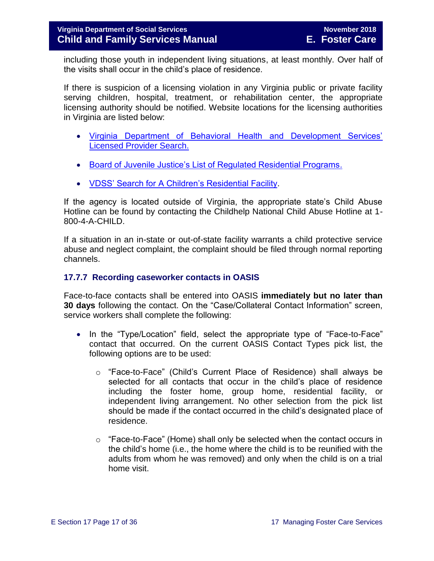including those youth in independent living situations, at least monthly. Over half of the visits shall occur in the child's place of residence.

If there is suspicion of a licensing violation in any Virginia public or private facility serving children, hospital, treatment, or rehabilitation center, the appropriate licensing authority should be notified. Website locations for the licensing authorities in Virginia are listed below:

- [Virginia Department of Behavioral Health and Development Services'](http://www.dbhds.virginia.gov/professionals-and-service-providers/licensing)  [Licensed Provider Search.](http://www.dbhds.virginia.gov/professionals-and-service-providers/licensing)
- [Board of Juvenile Justice's List of Regulated Residential Programs.](http://www.djj.virginia.gov/pages/about-djj/djj-board.htm)
- [VDSS' Search for A Children's Residential Facility.](http://www.dss.virginia.gov/facility/search/crf.cgi)

If the agency is located outside of Virginia, the appropriate state's Child Abuse Hotline can be found by contacting the Childhelp National Child Abuse Hotline at 1- 800-4-A-CHILD.

If a situation in an in-state or out-of-state facility warrants a child protective service abuse and neglect complaint, the complaint should be filed through normal reporting channels.

#### <span id="page-16-0"></span>**17.7.7 Recording caseworker contacts in OASIS**

Face-to-face contacts shall be entered into OASIS **immediately but no later than 30 days** following the contact. On the "Case/Collateral Contact Information" screen, service workers shall complete the following:

- In the "Type/Location" field, select the appropriate type of "Face-to-Face" contact that occurred. On the current OASIS Contact Types pick list, the following options are to be used:
	- o "Face-to-Face" (Child's Current Place of Residence) shall always be selected for all contacts that occur in the child's place of residence including the foster home, group home, residential facility, or independent living arrangement. No other selection from the pick list should be made if the contact occurred in the child's designated place of residence.
	- o "Face-to-Face" (Home) shall only be selected when the contact occurs in the child's home (i.e., the home where the child is to be reunified with the adults from whom he was removed) and only when the child is on a trial home visit.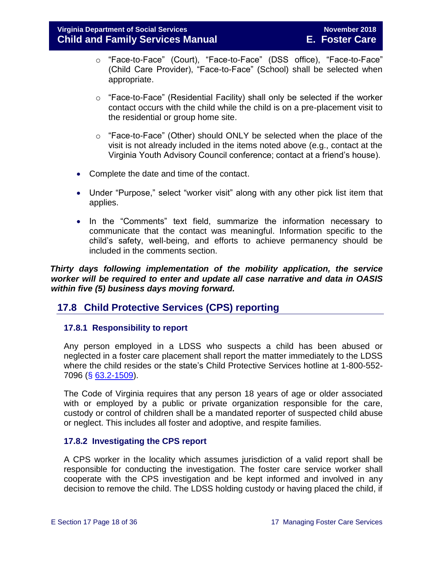- o "Face-to-Face" (Court), "Face-to-Face" (DSS office), "Face-to-Face" (Child Care Provider), "Face-to-Face" (School) shall be selected when appropriate.
- o "Face-to-Face" (Residential Facility) shall only be selected if the worker contact occurs with the child while the child is on a pre-placement visit to the residential or group home site.
- o "Face-to-Face" (Other) should ONLY be selected when the place of the visit is not already included in the items noted above (e.g., contact at the Virginia Youth Advisory Council conference; contact at a friend's house).
- Complete the date and time of the contact.
- Under "Purpose," select "worker visit" along with any other pick list item that applies.
- In the "Comments" text field, summarize the information necessary to communicate that the contact was meaningful. Information specific to the child's safety, well-being, and efforts to achieve permanency should be included in the comments section.

 *Thirty days following implementation of the mobility application, the service worker will be required to enter and update all case narrative and data in OASIS within five (5) business days moving forward.* 

#### <span id="page-17-0"></span>**17.8 Child Protective Services (CPS) reporting**

#### <span id="page-17-1"></span>**17.8.1 Responsibility to report**

Any person employed in a LDSS who suspects a child has been abused or neglected in a foster care placement shall report the matter immediately to the LDSS where the child resides or the state's Child Protective Services hotline at 1-800-552- 7096 (§ [63.2-1509\)](http://law.lis.virginia.gov/vacode/63.2-1509/).

The Code of Virginia requires that any person 18 years of age or older associated with or employed by a public or private organization responsible for the care, custody or control of children shall be a mandated reporter of suspected child abuse or neglect. This includes all foster and adoptive, and respite families.

#### <span id="page-17-2"></span>**17.8.2 Investigating the CPS report**

A CPS worker in the locality which assumes jurisdiction of a valid report shall be responsible for conducting the investigation. The foster care service worker shall cooperate with the CPS investigation and be kept informed and involved in any decision to remove the child. The LDSS holding custody or having placed the child, if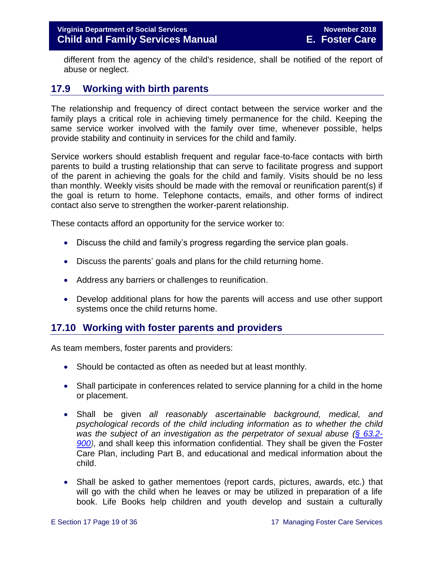different from the agency of the child's residence, shall be notified of the report of abuse or neglect.

#### <span id="page-18-0"></span>**17.9 Working with birth parents**

The relationship and frequency of direct contact between the service worker and the family plays a critical role in achieving timely permanence for the child. Keeping the same service worker involved with the family over time, whenever possible, helps provide stability and continuity in services for the child and family.

Service workers should establish frequent and regular face-to-face contacts with birth parents to build a trusting relationship that can serve to facilitate progress and support of the parent in achieving the goals for the child and family. Visits should be no less than monthly. Weekly visits should be made with the removal or reunification parent(s) if the goal is return to home. Telephone contacts, emails, and other forms of indirect contact also serve to strengthen the worker-parent relationship.

These contacts afford an opportunity for the service worker to:

- Discuss the child and family's progress regarding the service plan goals.
- Discuss the parents' goals and plans for the child returning home.
- Address any barriers or challenges to reunification.
- Develop additional plans for how the parents will access and use other support systems once the child returns home.

#### <span id="page-18-1"></span>**17.10 Working with foster parents and providers**

As team members, foster parents and providers:

- Should be contacted as often as needed but at least monthly.
- Shall participate in conferences related to service planning for a child in the home or placement.
- Shall be given *all reasonably ascertainable background, medical, and psychological records of the child including information as to whether the child was the subject of an investigation as the perpetrator of sexual abuse [\(§ 63.2-](https://law.lis.virginia.gov/vacode/title63.2/chapter9/section63.2-900/) [900\)](https://law.lis.virginia.gov/vacode/title63.2/chapter9/section63.2-900/),* and shall keep this information confidential. They shall be given the Foster Care Plan, including Part B, and educational and medical information about the child.
- Shall be asked to gather mementoes (report cards, pictures, awards, etc.) that will go with the child when he leaves or may be utilized in preparation of a life book. Life Books help children and youth develop and sustain a culturally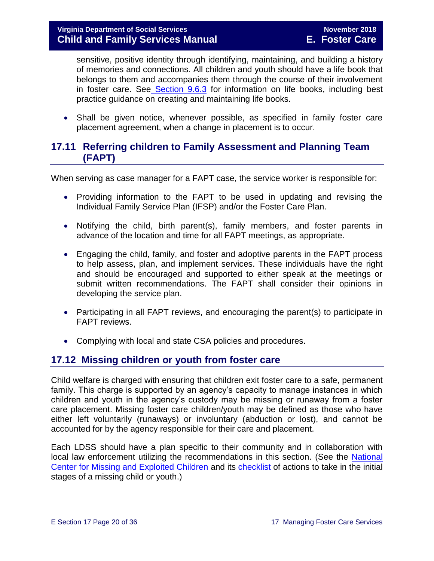sensitive, positive identity through identifying, maintaining, and building a history of memories and connections. All children and youth should have a life book that belongs to them and accompanies them through the course of their involvement in foster care. See [Section](file://///Vaultcelerra.co.dss.state.va.us/Workgroup/Family_Services/DFS%20Child%20and%20Family%20Services%20Manual/E.%20Foster%20Care/Foster%20Care%20June%202017/section_9_achieving_permanency_goal_adoption%20draft.docx) 9.6.3 for information on life books, including best practice guidance on creating and maintaining life books.

• Shall be given notice, whenever possible, as specified in family foster care placement agreement, when a change in placement is to occur.

#### <span id="page-19-0"></span>**17.11 Referring children to Family Assessment and Planning Team (FAPT)**

When serving as case manager for a FAPT case, the service worker is responsible for:

- Providing information to the FAPT to be used in updating and revising the Individual Family Service Plan (IFSP) and/or the Foster Care Plan.
- Notifying the child, birth parent(s), family members, and foster parents in advance of the location and time for all FAPT meetings, as appropriate.
- Engaging the child, family, and foster and adoptive parents in the FAPT process to help assess, plan, and implement services. These individuals have the right and should be encouraged and supported to either speak at the meetings or submit written recommendations. The FAPT shall consider their opinions in developing the service plan.
- Participating in all FAPT reviews, and encouraging the parent(s) to participate in FAPT reviews.
- Complying with local and state CSA policies and procedures.

#### <span id="page-19-1"></span>**17.12 Missing children or youth from foster care**

Child welfare is charged with ensuring that children exit foster care to a safe, permanent family. This charge is supported by an agency's capacity to manage instances in which children and youth in the agency's custody may be missing or runaway from a foster care placement. Missing foster care children/youth may be defined as those who have either left voluntarily (runaways) or involuntary (abduction or lost), and cannot be accounted for by the agency responsible for their care and placement.

Each LDSS should have a plan specific to their community and in collaboration with local law enforcement utilizing the recommendations in this section. (See the [National](http://www.missingkids.com/MissingChild)  [Center for Missing and Exploited Children](http://www.missingkids.com/MissingChild) and its [checklist](http://www.missingkids.com/Publications/NC198) of actions to take in the initial stages of a missing child or youth.)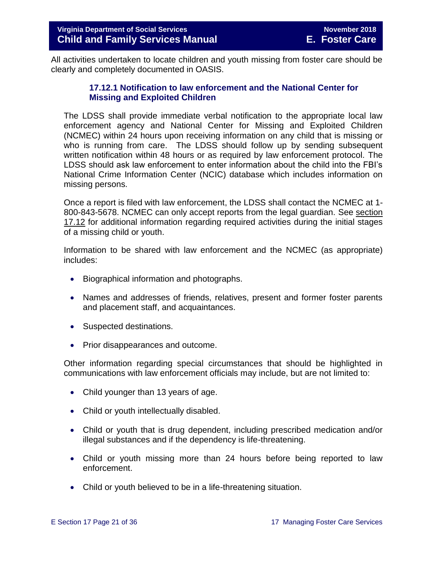<span id="page-20-0"></span>All activities undertaken to locate children and youth missing from foster care should be clearly and completely documented in OASIS.

#### **17.12.1 Notification to law enforcement and the National Center for Missing and Exploited Children**

The LDSS shall provide immediate verbal notification to the appropriate local law enforcement agency and National Center for Missing and Exploited Children (NCMEC) within 24 hours upon receiving information on any child that is missing or who is running from care. The LDSS should follow up by sending subsequent written notification within 48 hours or as required by law enforcement protocol. The LDSS should ask law enforcement to enter information about the child into the FBI's National Crime Information Center (NCIC) database which includes information on missing persons.

Once a report is filed with law enforcement, the LDSS shall contact the NCMEC at 1- 800-843-5678. NCMEC can only accept reports from the legal guardian. See section 17.12 for additional information regarding required activities during the initial stages of a missing child or youth.

Information to be shared with law enforcement and the NCMEC (as appropriate) includes:

- Biographical information and photographs.
- Names and addresses of friends, relatives, present and former foster parents and placement staff, and acquaintances.
- Suspected destinations.
- Prior disappearances and outcome.

Other information regarding special circumstances that should be highlighted in communications with law enforcement officials may include, but are not limited to:

- Child younger than 13 years of age.
- Child or youth intellectually disabled.
- Child or youth that is drug dependent, including prescribed medication and/or illegal substances and if the dependency is life-threatening.
- Child or youth missing more than 24 hours before being reported to law enforcement.
- Child or youth believed to be in a life-threatening situation.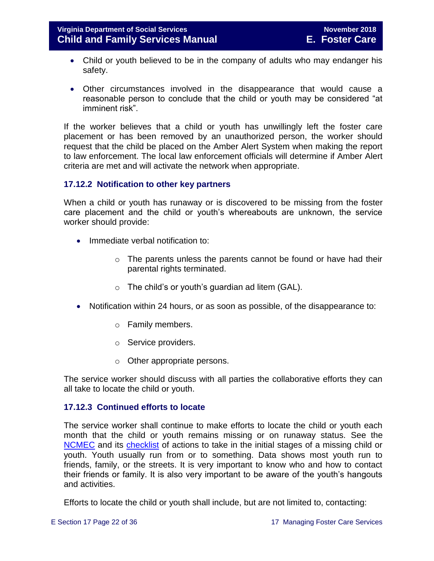- Child or youth believed to be in the company of adults who may endanger his safety.
- Other circumstances involved in the disappearance that would cause a reasonable person to conclude that the child or youth may be considered "at imminent risk".

If the worker believes that a child or youth has unwillingly left the foster care placement or has been removed by an unauthorized person, the worker should request that the child be placed on the Amber Alert System when making the report to law enforcement. The local law enforcement officials will determine if Amber Alert criteria are met and will activate the network when appropriate.

#### <span id="page-21-0"></span>**17.12.2 Notification to other key partners**

When a child or youth has runaway or is discovered to be missing from the foster care placement and the child or youth's whereabouts are unknown, the service worker should provide:

- Immediate verbal notification to:
	- o The parents unless the parents cannot be found or have had their parental rights terminated.
	- $\circ$  The child's or youth's guardian ad litem (GAL).
- Notification within 24 hours, or as soon as possible, of the disappearance to:
	- o Family members.
	- o Service providers.
	- o Other appropriate persons.

The service worker should discuss with all parties the collaborative efforts they can all take to locate the child or youth.

#### <span id="page-21-1"></span>**17.12.3 Continued efforts to locate**

The service worker shall continue to make efforts to locate the child or youth each month that the child or youth remains missing or on runaway status. See the [NCMEC](http://www.missingkids.com/MissingChild) and its [checklist](http://www.missingkids.com/Publications/NC198) of actions to take in the initial stages of a missing child or youth. Youth usually run from or to something. Data shows most youth run to friends, family, or the streets. It is very important to know who and how to contact their friends or family. It is also very important to be aware of the youth's hangouts and activities.

Efforts to locate the child or youth shall include, but are not limited to, contacting: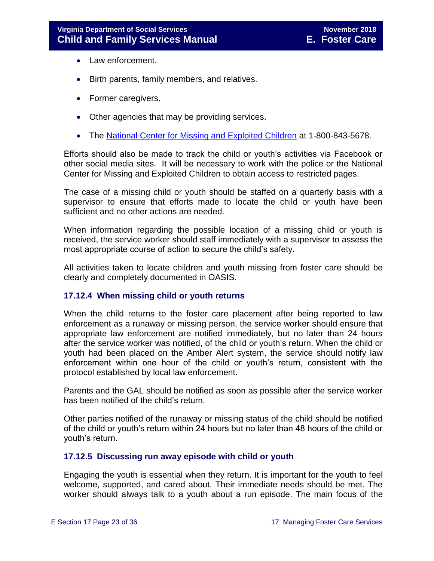- Law enforcement.
- Birth parents, family members, and relatives.
- Former caregivers.
- Other agencies that may be providing services.
- The [National Center for Missing and Exploited Children](http://www.missingkids.com/MissingChild) at 1-800-843-5678.

Efforts should also be made to track the child or youth's activities via Facebook or other social media sites. It will be necessary to work with the police or the National Center for Missing and Exploited Children to obtain access to restricted pages.

The case of a missing child or youth should be staffed on a quarterly basis with a supervisor to ensure that efforts made to locate the child or youth have been sufficient and no other actions are needed.

When information regarding the possible location of a missing child or youth is received, the service worker should staff immediately with a supervisor to assess the most appropriate course of action to secure the child's safety.

All activities taken to locate children and youth missing from foster care should be clearly and completely documented in OASIS.

#### <span id="page-22-0"></span>**17.12.4 When missing child or youth returns**

When the child returns to the foster care placement after being reported to law enforcement as a runaway or missing person, the service worker should ensure that appropriate law enforcement are notified immediately, but no later than 24 hours after the service worker was notified, of the child or youth's return. When the child or youth had been placed on the Amber Alert system, the service should notify law enforcement within one hour of the child or youth's return, consistent with the protocol established by local law enforcement.

Parents and the GAL should be notified as soon as possible after the service worker has been notified of the child's return.

Other parties notified of the runaway or missing status of the child should be notified of the child or youth's return within 24 hours but no later than 48 hours of the child or youth's return.

#### <span id="page-22-1"></span>**17.12.5 Discussing run away episode with child or youth**

Engaging the youth is essential when they return. It is important for the youth to feel welcome, supported, and cared about. Their immediate needs should be met. The worker should always talk to a youth about a run episode. The main focus of the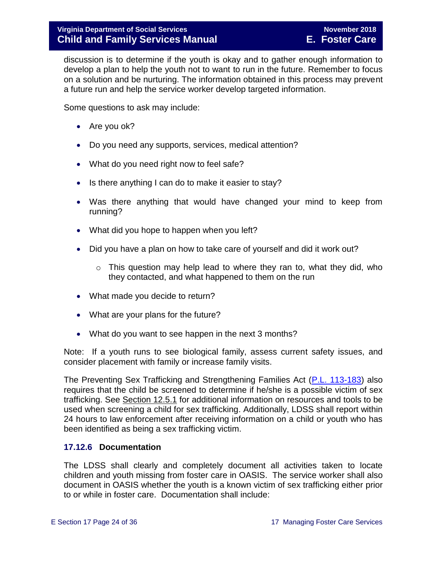discussion is to determine if the youth is okay and to gather enough information to develop a plan to help the youth not to want to run in the future. Remember to focus on a solution and be nurturing. The information obtained in this process may prevent a future run and help the service worker develop targeted information.

Some questions to ask may include:

- Are you ok?
- Do you need any supports, services, medical attention?
- What do you need right now to feel safe?
- Is there anything I can do to make it easier to stay?
- Was there anything that would have changed your mind to keep from running?
- What did you hope to happen when you left?
- Did you have a plan on how to take care of yourself and did it work out?
	- o This question may help lead to where they ran to, what they did, who they contacted, and what happened to them on the run
- What made you decide to return?
- What are your plans for the future?
- What do you want to see happen in the next 3 months?

Note: If a youth runs to see biological family, assess current safety issues, and consider placement with family or increase family visits.

The Preventing Sex Trafficking and Strengthening Families Act [\(P.L. 113-183\)](https://www.congress.gov/113/plaws/publ183/PLAW-113publ183.pdf) also requires that the child be screened to determine if he/she is a possible victim of sex trafficking. See [Section 12.5.1](file://///Vaultcelerra.co.dss.state.va.us/Workgroup/Family_Services/DFS%20Child%20and%20Family%20Services%20Manual/E.%20Foster%20Care/Foster%20Care%20June%202017/section_12_identifying_services_to_be_provided.draft.docx) for additional information on resources and tools to be used when screening a child for sex trafficking. Additionally, LDSS shall report within 24 hours to law enforcement after receiving information on a child or youth who has been identified as being a sex trafficking victim.

#### <span id="page-23-0"></span>**17.12.6 Documentation**

The LDSS shall clearly and completely document all activities taken to locate children and youth missing from foster care in OASIS. The service worker shall also document in OASIS whether the youth is a known victim of sex trafficking either prior to or while in foster care. Documentation shall include: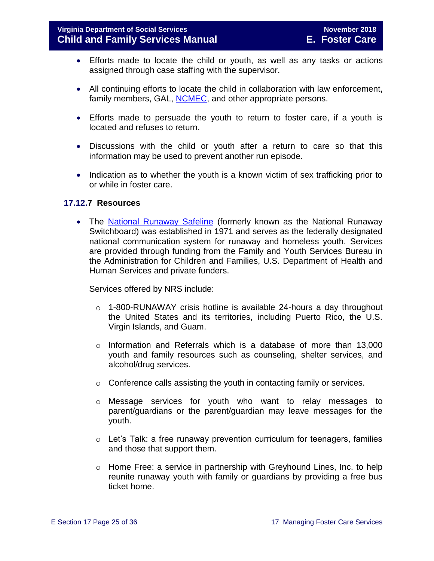- Efforts made to locate the child or youth, as well as any tasks or actions assigned through case staffing with the supervisor.
- All continuing efforts to locate the child in collaboration with law enforcement, family members, GAL, [NCMEC,](http://www.missingkids.com/MissingChild) and other appropriate persons.
- Efforts made to persuade the youth to return to foster care, if a youth is located and refuses to return.
- Discussions with the child or youth after a return to care so that this information may be used to prevent another run episode.
- Indication as to whether the youth is a known victim of sex trafficking prior to or while in foster care.

#### <span id="page-24-0"></span>**17.12.7 Resources**

• The [National Runaway Safeline](http://www.1800runaway.org/) (formerly known as the National Runaway Switchboard) was established in 1971 and serves as the federally designated national communication system for runaway and homeless youth. Services are provided through funding from the Family and Youth Services Bureau in the Administration for Children and Families, U.S. Department of Health and Human Services and private funders.

Services offered by NRS include:

- $\circ$  1-800-RUNAWAY crisis hotline is available 24-hours a day throughout the United States and its territories, including Puerto Rico, the U.S. Virgin Islands, and Guam.
- $\circ$  Information and Referrals which is a database of more than 13,000 youth and family resources such as counseling, shelter services, and alcohol/drug services.
- o Conference calls assisting the youth in contacting family or services.
- o Message services for youth who want to relay messages to parent/guardians or the parent/guardian may leave messages for the youth.
- o Let's Talk: a free runaway prevention curriculum for teenagers, families and those that support them.
- o Home Free: a service in partnership with Greyhound Lines, Inc. to help reunite runaway youth with family or guardians by providing a free bus ticket home.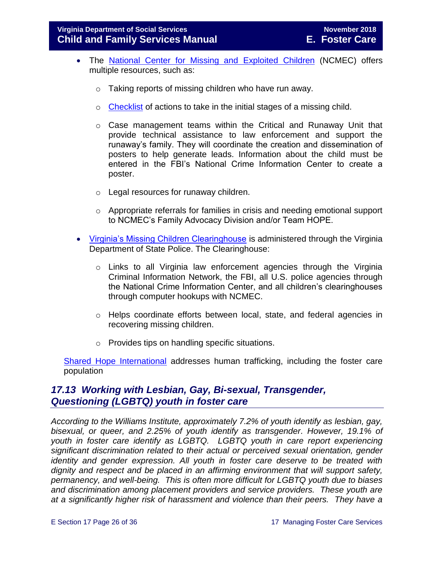- The [National Center for Missing and Exploited Children](http://www.missingkids.com/MissingChild) (NCMEC) offers multiple resources, such as:
	- o Taking reports of missing children who have run away.
	- o [Checklist](http://www.missingkids.com/Publications/NC198) of actions to take in the initial stages of a missing child.
	- o Case management teams within the Critical and Runaway Unit that provide technical assistance to law enforcement and support the runaway's family. They will coordinate the creation and dissemination of posters to help generate leads. Information about the child must be entered in the FBI's National Crime Information Center to create a poster.
	- o Legal resources for runaway children.
	- o Appropriate referrals for families in crisis and needing emotional support to NCMEC's Family Advocacy Division and/or Team HOPE.
- [Virginia's Missing Children Clearinghouse](http://www.vsp.state.va.us/CJIS_VMEC.shtm) is administered through the Virginia Department of State Police. The Clearinghouse:
	- $\circ$  Links to all Virginia law enforcement agencies through the Virginia Criminal Information Network, the FBI, all U.S. police agencies through the National Crime Information Center, and all children's clearinghouses through computer hookups with NCMEC.
	- o Helps coordinate efforts between local, state, and federal agencies in recovering missing children.
	- o Provides tips on handling specific situations.

[Shared Hope International](http://sharedhope.org/what-we-do/) addresses human trafficking, including the foster care population

#### <span id="page-25-0"></span>*17.13 Working with Lesbian, Gay, Bi-sexual, Transgender, Questioning (LGBTQ) youth in foster care*

*According to the Williams Institute, approximately 7.2% of youth identify as lesbian, gay, bisexual, or queer, and 2.25% of youth identify as transgender. However, 19.1% of youth in foster care identify as LGBTQ. LGBTQ youth in care report experiencing significant discrimination related to their actual or perceived sexual orientation, gender identity and gender expression. All youth in foster care deserve to be treated with dignity and respect and be placed in an affirming environment that will support safety, permanency, and well-being. This is often more difficult for LGBTQ youth due to biases and discrimination among placement providers and service providers. These youth are at a significantly higher risk of harassment and violence than their peers. They have a*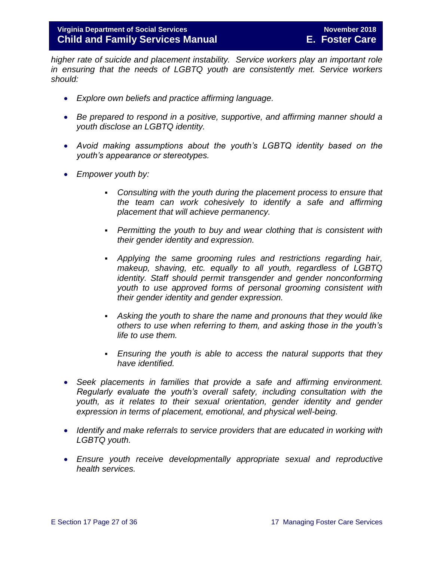*higher rate of suicide and placement instability. Service workers play an important role in ensuring that the needs of LGBTQ youth are consistently met. Service workers should:*

- *Explore own beliefs and practice affirming language.*
- *Be prepared to respond in a positive, supportive, and affirming manner should a youth disclose an LGBTQ identity.*
- *Avoid making assumptions about the youth's LGBTQ identity based on the youth's appearance or stereotypes.*
- *Empower youth by:*
	- *Consulting with the youth during the placement process to ensure that the team can work cohesively to identify a safe and affirming placement that will achieve permanency.*
	- *Permitting the youth to buy and wear clothing that is consistent with their gender identity and expression.*
	- *Applying the same grooming rules and restrictions regarding hair, makeup, shaving, etc. equally to all youth, regardless of LGBTQ identity. Staff should permit transgender and gender nonconforming youth to use approved forms of personal grooming consistent with their gender identity and gender expression.*
	- *Asking the youth to share the name and pronouns that they would like others to use when referring to them, and asking those in the youth's life to use them.*
	- *Ensuring the youth is able to access the natural supports that they have identified.*
- *Seek placements in families that provide a safe and affirming environment. Regularly evaluate the youth's overall safety, including consultation with the youth, as it relates to their sexual orientation, gender identity and gender expression in terms of placement, emotional, and physical well-being.*
- *Identify and make referrals to service providers that are educated in working with LGBTQ youth.*
- *Ensure youth receive developmentally appropriate sexual and reproductive health services.*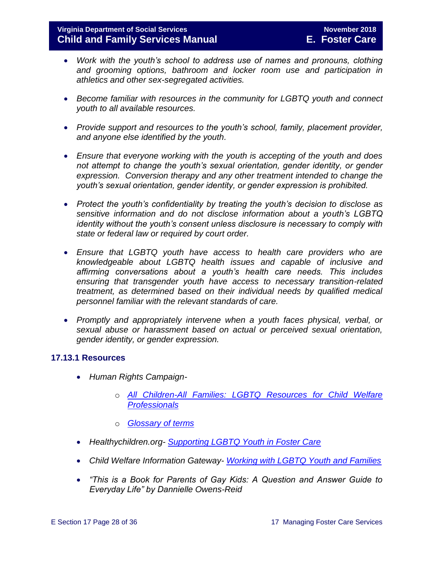- *Work with the youth's school to address use of names and pronouns, clothing and grooming options, bathroom and locker room use and participation in athletics and other sex-segregated activities.*
- *Become familiar with resources in the community for LGBTQ youth and connect youth to all available resources.*
- *Provide support and resources to the youth's school, family, placement provider, and anyone else identified by the youth.*
- *Ensure that everyone working with the youth is accepting of the youth and does not attempt to change the youth's sexual orientation, gender identity, or gender expression. Conversion therapy and any other treatment intended to change the youth's sexual orientation, gender identity, or gender expression is prohibited.*
- *Protect the youth's confidentiality by treating the youth's decision to disclose as sensitive information and do not disclose information about a youth's LGBTQ identity without the youth's consent unless disclosure is necessary to comply with state or federal law or required by court order.*
- *Ensure that LGBTQ youth have access to health care providers who are knowledgeable about LGBTQ health issues and capable of inclusive and affirming conversations about a youth's health care needs. This includes ensuring that transgender youth have access to necessary transition-related treatment, as determined based on their individual needs by qualified medical personnel familiar with the relevant standards of care.*
- *Promptly and appropriately intervene when a youth faces physical, verbal, or sexual abuse or harassment based on actual or perceived sexual orientation, gender identity, or gender expression.*

#### **17.13.1 Resources**

- <span id="page-27-0"></span> *Human Rights Campaign*
	- o *[All Children-All Families: LGBTQ Resources for Child Welfare](http://www.hrc.org/resources/all-children-all-families-additional-resources#Best Practices)  [Professionals](http://www.hrc.org/resources/all-children-all-families-additional-resources#Best Practices)*
	- o *[Glossary of terms](https://www.hrc.org/resources/glossary-of-terms)*
- *Healthychildren.org- [Supporting LGBTQ Youth in Foster Care](https://healthychildren.org/English/family-life/family-dynamics/adoption-and-foster-care/Pages/Supporting-LGBTQ-Youth-in-Foster-Care.aspx)*
- *Child Welfare Information Gateway- [Working with LGBTQ Youth and Families](https://www.childwelfare.gov/topics/systemwide/diverse-populations/lgbtq/)*
- *"This is a Book for Parents of Gay Kids: A Question and Answer Guide to Everyday Life" by Dannielle Owens-Reid*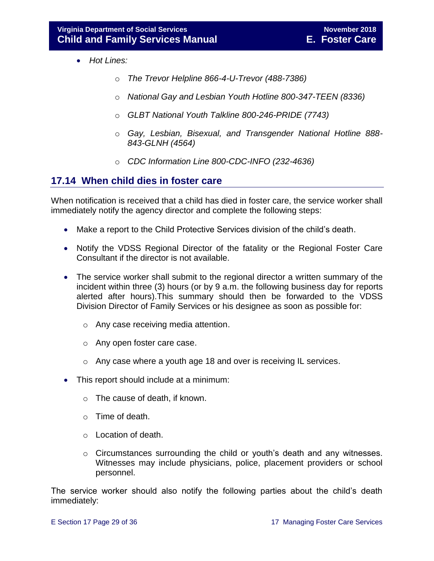- *Hot Lines:*
	- o *The Trevor Helpline 866-4-U-Trevor (488-7386)*
	- o *National Gay and Lesbian Youth Hotline 800-347-TEEN (8336)*
	- o *GLBT National Youth Talkline 800-246-PRIDE (7743)*
	- o *Gay, Lesbian, Bisexual, and Transgender National Hotline 888- 843-GLNH (4564)*
	- o *CDC Information Line 800-CDC-INFO (232-4636)*

#### <span id="page-28-0"></span>**17.14 When child dies in foster care**

When notification is received that a child has died in foster care, the service worker shall immediately notify the agency director and complete the following steps:

- Make a report to the Child Protective Services division of the child's death.
- Notify the VDSS Regional Director of the fatality or the Regional Foster Care Consultant if the director is not available.
- The service worker shall submit to the regional director a written summary of the incident within three (3) hours (or by 9 a.m. the following business day for reports alerted after hours).This summary should then be forwarded to the VDSS Division Director of Family Services or his designee as soon as possible for:
	- o Any case receiving media attention.
	- o Any open foster care case.
	- o Any case where a youth age 18 and over is receiving IL services.
- This report should include at a minimum:
	- o The cause of death, if known.
	- o Time of death.
	- o Location of death.
	- $\circ$  Circumstances surrounding the child or youth's death and any witnesses. Witnesses may include physicians, police, placement providers or school personnel.

The service worker should also notify the following parties about the child's death immediately: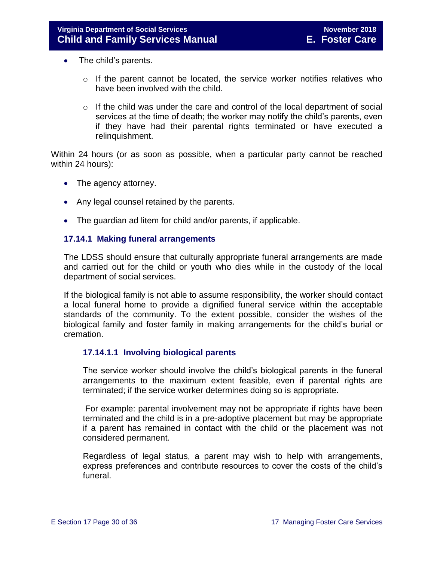- The child's parents.
	- o If the parent cannot be located, the service worker notifies relatives who have been involved with the child.
	- $\circ$  If the child was under the care and control of the local department of social services at the time of death; the worker may notify the child's parents, even if they have had their parental rights terminated or have executed a relinquishment.

Within 24 hours (or as soon as possible, when a particular party cannot be reached within 24 hours):

- The agency attorney.
- Any legal counsel retained by the parents.
- The guardian ad litem for child and/or parents, if applicable.

#### <span id="page-29-0"></span>**17.14.1 Making funeral arrangements**

The LDSS should ensure that culturally appropriate funeral arrangements are made and carried out for the child or youth who dies while in the custody of the local department of social services.

If the biological family is not able to assume responsibility, the worker should contact a local funeral home to provide a dignified funeral service within the acceptable standards of the community. To the extent possible, consider the wishes of the biological family and foster family in making arrangements for the child's burial or cremation.

#### **17.14.1.1 Involving biological parents**

The service worker should involve the child's biological parents in the funeral arrangements to the maximum extent feasible, even if parental rights are terminated; if the service worker determines doing so is appropriate.

For example: parental involvement may not be appropriate if rights have been terminated and the child is in a pre-adoptive placement but may be appropriate if a parent has remained in contact with the child or the placement was not considered permanent.

Regardless of legal status, a parent may wish to help with arrangements, express preferences and contribute resources to cover the costs of the child's funeral.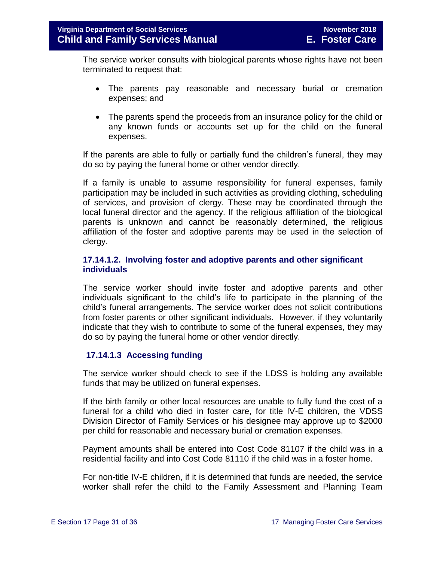The service worker consults with biological parents whose rights have not been terminated to request that:

- The parents pay reasonable and necessary burial or cremation expenses; and
- The parents spend the proceeds from an insurance policy for the child or any known funds or accounts set up for the child on the funeral expenses.

If the parents are able to fully or partially fund the children's funeral, they may do so by paying the funeral home or other vendor directly.

If a family is unable to assume responsibility for funeral expenses, family participation may be included in such activities as providing clothing, scheduling of services, and provision of clergy. These may be coordinated through the local funeral director and the agency. If the religious affiliation of the biological parents is unknown and cannot be reasonably determined, the religious affiliation of the foster and adoptive parents may be used in the selection of clergy.

#### **17.14.1.2. Involving foster and adoptive parents and other significant individuals**

The service worker should invite foster and adoptive parents and other individuals significant to the child's life to participate in the planning of the child's funeral arrangements. The service worker does not solicit contributions from foster parents or other significant individuals. However, if they voluntarily indicate that they wish to contribute to some of the funeral expenses, they may do so by paying the funeral home or other vendor directly.

#### **17.14.1.3 Accessing funding**

The service worker should check to see if the LDSS is holding any available funds that may be utilized on funeral expenses.

If the birth family or other local resources are unable to fully fund the cost of a funeral for a child who died in foster care, for title IV-E children, the VDSS Division Director of Family Services or his designee may approve up to \$2000 per child for reasonable and necessary burial or cremation expenses.

Payment amounts shall be entered into Cost Code 81107 if the child was in a residential facility and into Cost Code 81110 if the child was in a foster home.

For non-title IV-E children, if it is determined that funds are needed, the service worker shall refer the child to the Family Assessment and Planning Team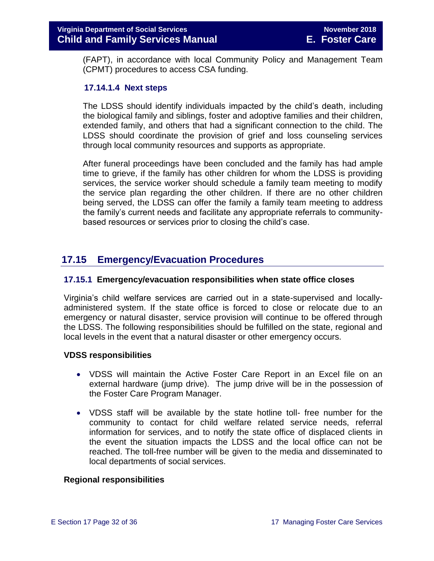(FAPT), in accordance with local Community Policy and Management Team (CPMT) procedures to access CSA funding.

#### **17.14.1.4 Next steps**

The LDSS should identify individuals impacted by the child's death, including the biological family and siblings, foster and adoptive families and their children, extended family, and others that had a significant connection to the child. The LDSS should coordinate the provision of grief and loss counseling services through local community resources and supports as appropriate.

After funeral proceedings have been concluded and the family has had ample time to grieve, if the family has other children for whom the LDSS is providing services, the service worker should schedule a family team meeting to modify the service plan regarding the other children. If there are no other children being served, the LDSS can offer the family a family team meeting to address the family's current needs and facilitate any appropriate referrals to communitybased resources or services prior to closing the child's case.

#### <span id="page-31-0"></span>**17.15 Emergency/Evacuation Procedures**

#### <span id="page-31-1"></span>**17.15.1 Emergency/evacuation responsibilities when state office closes**

Virginia's child welfare services are carried out in a state-supervised and locallyadministered system. If the state office is forced to close or relocate due to an emergency or natural disaster, service provision will continue to be offered through the LDSS. The following responsibilities should be fulfilled on the state, regional and local levels in the event that a natural disaster or other emergency occurs.

#### **VDSS responsibilities**

- VDSS will maintain the Active Foster Care Report in an Excel file on an external hardware (jump drive). The jump drive will be in the possession of the Foster Care Program Manager.
- VDSS staff will be available by the state hotline toll- free number for the community to contact for child welfare related service needs, referral information for services, and to notify the state office of displaced clients in the event the situation impacts the LDSS and the local office can not be reached. The toll-free number will be given to the media and disseminated to local departments of social services.

#### **Regional responsibilities**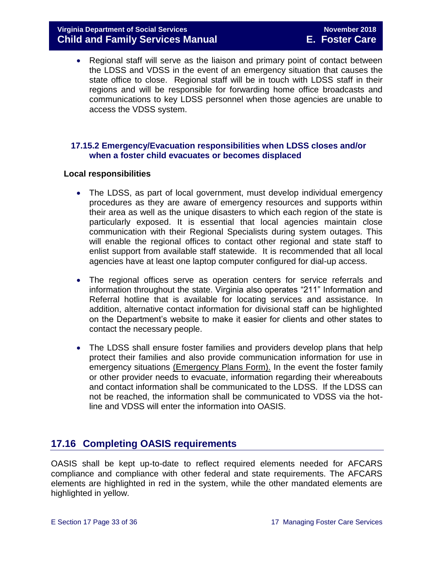#### **Virginia Department of Social Services November 2018 Child and Family Services Manual E. Foster Care**

 Regional staff will serve as the liaison and primary point of contact between the LDSS and VDSS in the event of an emergency situation that causes the state office to close. Regional staff will be in touch with LDSS staff in their regions and will be responsible for forwarding home office broadcasts and communications to key LDSS personnel when those agencies are unable to access the VDSS system.

#### <span id="page-32-0"></span> **17.15.2 Emergency/Evacuation responsibilities when LDSS closes and/or when a foster child evacuates or becomes displaced**

#### **Local responsibilities**

- The LDSS, as part of local government, must develop individual emergency procedures as they are aware of emergency resources and supports within their area as well as the unique disasters to which each region of the state is particularly exposed. It is essential that local agencies maintain close communication with their Regional Specialists during system outages. This will enable the regional offices to contact other regional and state staff to enlist support from available staff statewide. It is recommended that all local agencies have at least one laptop computer configured for dial-up access.
- The regional offices serve as operation centers for service referrals and information throughout the state. Virginia also operates "211" Information and Referral hotline that is available for locating services and assistance. In addition, alternative contact information for divisional staff can be highlighted on the Department's website to make it easier for clients and other states to contact the necessary people.
- The LDSS shall ensure foster families and providers develop plans that help protect their families and also provide communication information for use in emergency situations [\(Emergency Plans Form\).](http://spark.dss.virginia.gov/divisions/dgs/warehouse.cgi) In the event the foster family or other provider needs to evacuate, information regarding their whereabouts and contact information shall be communicated to the LDSS. If the LDSS can not be reached, the information shall be communicated to VDSS via the hotline and VDSS will enter the information into OASIS.

#### <span id="page-32-1"></span>**17.16 Completing OASIS requirements**

OASIS shall be kept up-to-date to reflect required elements needed for AFCARS compliance and compliance with other federal and state requirements. The AFCARS elements are highlighted in red in the system, while the other mandated elements are highlighted in yellow.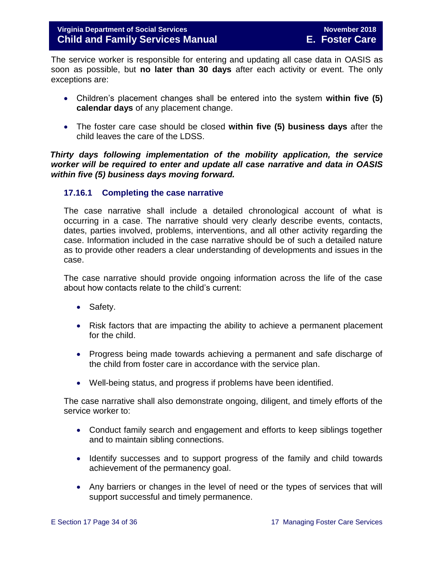The service worker is responsible for entering and updating all case data in OASIS as soon as possible, but **no later than 30 days** after each activity or event. The only exceptions are:

- Children's placement changes shall be entered into the system **within five (5) calendar days** of any placement change.
- The foster care case should be closed **within five (5) business days** after the child leaves the care of the LDSS.

 *Thirty days following implementation of the mobility application, the service worker will be required to enter and update all case narrative and data in OASIS within five (5) business days moving forward.* 

#### <span id="page-33-0"></span>**17.16.1 Completing the case narrative**

The case narrative shall include a detailed chronological account of what is occurring in a case. The narrative should very clearly describe events, contacts, dates, parties involved, problems, interventions, and all other activity regarding the case. Information included in the case narrative should be of such a detailed nature as to provide other readers a clear understanding of developments and issues in the case.

The case narrative should provide ongoing information across the life of the case about how contacts relate to the child's current:

- Safety.
- Risk factors that are impacting the ability to achieve a permanent placement for the child.
- Progress being made towards achieving a permanent and safe discharge of the child from foster care in accordance with the service plan.
- Well-being status, and progress if problems have been identified.

The case narrative shall also demonstrate ongoing, diligent, and timely efforts of the service worker to:

- Conduct family search and engagement and efforts to keep siblings together and to maintain sibling connections.
- Identify successes and to support progress of the family and child towards achievement of the permanency goal.
- Any barriers or changes in the level of need or the types of services that will support successful and timely permanence.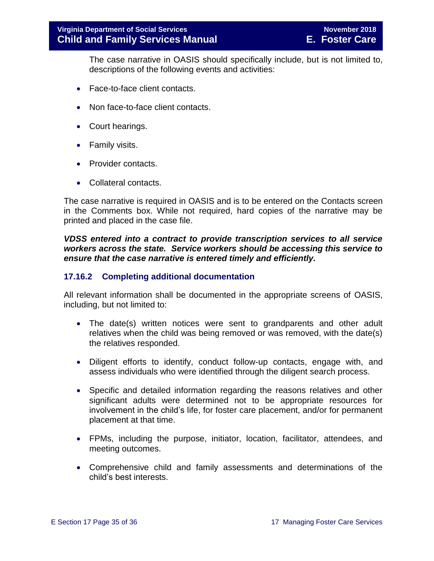The case narrative in OASIS should specifically include, but is not limited to, descriptions of the following events and activities:

- Face-to-face client contacts.
- Non face-to-face client contacts.
- Court hearings.
- Family visits.
- Provider contacts.
- Collateral contacts.

The case narrative is required in OASIS and is to be entered on the Contacts screen in the Comments box. While not required, hard copies of the narrative may be printed and placed in the case file.

*VDSS entered into a contract to provide transcription services to all service workers across the state. Service workers should be accessing this service to ensure that the case narrative is entered timely and efficiently.* 

#### <span id="page-34-0"></span>**17.16.2 Completing additional documentation**

All relevant information shall be documented in the appropriate screens of OASIS, including, but not limited to:

- The date(s) written notices were sent to grandparents and other adult relatives when the child was being removed or was removed, with the date(s) the relatives responded.
- Diligent efforts to identify, conduct follow-up contacts, engage with, and assess individuals who were identified through the diligent search process.
- Specific and detailed information regarding the reasons relatives and other significant adults were determined not to be appropriate resources for involvement in the child's life, for foster care placement, and/or for permanent placement at that time.
- FPMs, including the purpose, initiator, location, facilitator, attendees, and meeting outcomes.
- Comprehensive child and family assessments and determinations of the child's best interests.